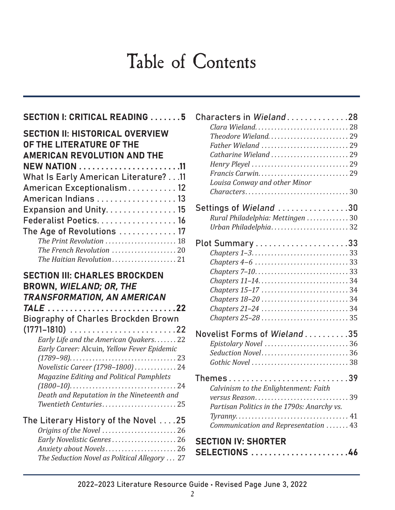# Table of Contents

#### SECTION I: CRITICAL READING . . . . . . . 5 SECTION II: HISTORICAL OVERVIEW OF THE LITERATURE OF THE AMERICAN REVOLUTION AND THE NEW NATION . . . . . . . . . . . . . . . . . . . . . . 11 What Is Early American Literature? . . 11 American Exceptionalism . . . . . . . . . . . 12 American Indians . . . . . . . . . . . . . . . . . . 13 Expansion and Unity. . . . . . . . . . . . . . . 15 Federalist Poetics . . . . . . . . . . . . . . . . . . 16 The Age of Revolutions .............. 17 *The Print Revolution . . . . . . . . . . . . . . . . . . . . . .* 18 *The French Revolution . . . . . . . . . . . . . . . . . . . .* 20

*The Haitian Revolution . . . . . . . . . . . . . . . . . .* 21

#### SECTION III: CHARLES BROCKDEN BROWN, WIELAND; OR, THE TRANSFORMATION, AN AMERICAN TALE.............................22 Biography of Charles Brockden Brown (1771–1810)........................22 *Early Life and the American Quakers.......* 22 *Early Career:* Alcuin*, Yellow Fever Epidemic (1789–98) .* 23 *Novelistic Career (1798–1800) . . . . . . . . . . . .* 24 *Magazine Editing and Political Pamphlets (1800–10) .* 24 *Death and Reputation in the Nineteenth and Twentieth Centuries......................... 25* The Literary History of the Novel....25 *Origins of the Novel .* 26

| Early Novelistic Genres 26                    |  |
|-----------------------------------------------|--|
| Anxiety about Novels 26                       |  |
| The Seduction Novel as Political Allegory  27 |  |
|                                               |  |

| Characters in Wieland28<br>Clara Wieland28<br>Theodore Wieland 29<br>Father Wieland  29<br>Catharine Wieland  29<br>Louisa Conway and other Minor |  |  |
|---------------------------------------------------------------------------------------------------------------------------------------------------|--|--|
| $Charactors \ldots \ldots \ldots \ldots \ldots \ldots \ldots \ldots \ldots \ldots 30$                                                             |  |  |
| Settings of Wieland 30<br>Rural Philadelphia: Mettingen  30<br>Urban Philadelphia32                                                               |  |  |
| $Chapters 4-6 \ldots \ldots \ldots \ldots \ldots \ldots \ldots 33$                                                                                |  |  |
| Novelist Forms of Wieland35<br>Epistolary Novel  36<br>Seduction Novel 36                                                                         |  |  |
| .39<br>Themes<br>Calvinism to the Enlightenment: Faith                                                                                            |  |  |
| Partisan Politics in the 1790s: Anarchy vs.<br>Communication and Representation  43                                                               |  |  |
| <b>SECTION IV: SHORTER</b><br>SELECTIONS<br>46                                                                                                    |  |  |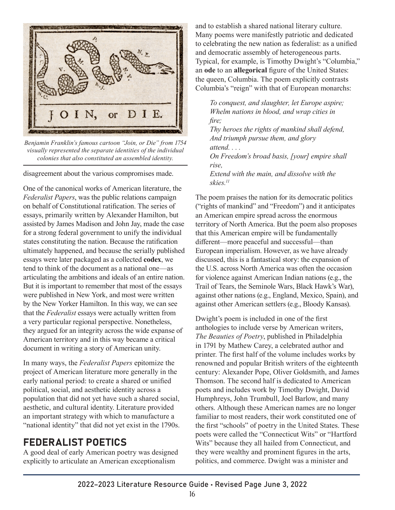

*Benjamin Franklin's famous cartoon "Join, or Die" from 1754 visually represented the separate identities of the individual colonies that also constituted an assembled identity.*

disagreement about the various compromises made.

One of the canonical works of American literature, the *Federalist Papers*, was the public relations campaign on behalf of Constitutional ratification. The series of essays, primarily written by Alexander Hamilton, but assisted by James Madison and John Jay, made the case for a strong federal government to unify the individual states constituting the nation. Because the ratification ultimately happened, and because the serially published essays were later packaged as a collected **codex**, we tend to think of the document as a national one—as articulating the ambitions and ideals of an entire nation. But it is important to remember that most of the essays were published in New York, and most were written by the New Yorker Hamilton. In this way, we can see that the *Federalist* essays were actually written from a very particular regional perspective. Nonetheless, they argued for an integrity across the wide expanse of American territory and in this way became a critical document in writing a story of American unity.

In many ways, the *Federalist Papers* epitomize the project of American literature more generally in the early national period: to create a shared or unified political, social, and aesthetic identity across a population that did not yet have such a shared social, aesthetic, and cultural identity. Literature provided an important strategy with which to manufacture a "national identity" that did not yet exist in the 1790s.

## FEDERALIST POETICS

A good deal of early American poetry was designed explicitly to articulate an American exceptionalism

and to establish a shared national literary culture. Many poems were manifestly patriotic and dedicated to celebrating the new nation as federalist: as a unified and democratic assembly of heterogeneous parts. Typical, for example, is Timothy Dwight's "Columbia," an **ode** to an **allegorical** figure of the United States: the queen, Columbia. The poem explicitly contrasts Columbia's "reign" with that of European monarchs:

*To conquest, and slaughter, let Europe aspire; Whelm nations in blood, and wrap cities in fire; Thy heroes the rights of mankind shall defend, And triumph pursue them, and glory attend. . . . On Freedom's broad basis, [your] empire shall rise, Extend with the main, and dissolve with the skies.11*

The poem praises the nation for its democratic politics ("rights of mankind" and "Freedom") and it anticipates an American empire spread across the enormous territory of North America. But the poem also proposes that this American empire will be fundamentally different—more peaceful and successful—than European imperialism. However, as we have already discussed, this is a fantastical story: the expansion of the U.S. across North America was often the occasion for violence against American Indian nations (e.g., the Trail of Tears, the Seminole Wars, Black Hawk's War), against other nations (e.g., England, Mexico, Spain), and against other American settlers (e.g., Bloody Kansas).

Dwight's poem is included in one of the first anthologies to include verse by American writers, *The Beauties of Poetry*, published in Philadelphia in 1791 by Mathew Carey, a celebrated author and printer. The first half of the volume includes works by renowned and popular British writers of the eighteenth century: Alexander Pope, Oliver Goldsmith, and James Thomson. The second half is dedicated to American poets and includes work by Timothy Dwight, David Humphreys, John Trumbull, Joel Barlow, and many others. Although these American names are no longer familiar to most readers, their work constituted one of the first "schools" of poetry in the United States. These poets were called the "Connecticut Wits" or "Hartford Wits" because they all hailed from Connecticut, and they were wealthy and prominent figures in the arts, politics, and commerce. Dwight was a minister and